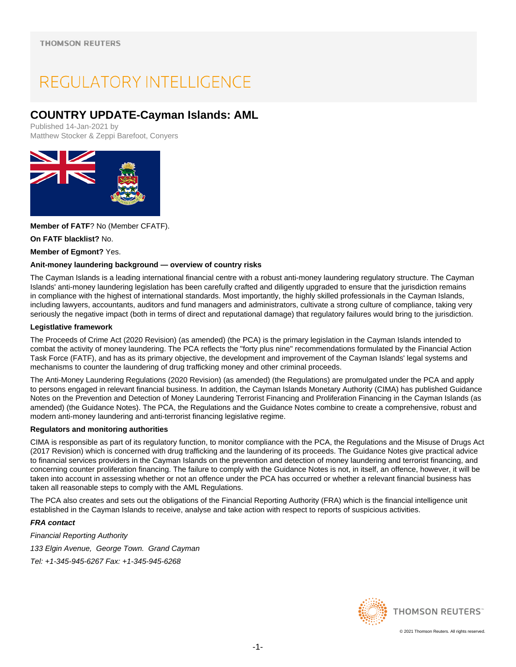# REGULATORY INTELLIGENCE

# **COUNTRY UPDATE-Cayman Islands: AML**

Published 14-Jan-2021 by Matthew Stocker & Zeppi Barefoot, Conyers



**Member of FATF**? No (Member CFATF).

**On FATF blacklist?** No.

**Member of Egmont?** Yes.

# **Anit-money laundering background — overview of country risks**

The Cayman Islands is a leading international financial centre with a robust anti-money laundering regulatory structure. The Cayman Islands' anti-money laundering legislation has been carefully crafted and diligently upgraded to ensure that the jurisdiction remains in compliance with the highest of international standards. Most importantly, the highly skilled professionals in the Cayman Islands, including lawyers, accountants, auditors and fund managers and administrators, cultivate a strong culture of compliance, taking very seriously the negative impact (both in terms of direct and reputational damage) that regulatory failures would bring to the jurisdiction.

# **Legistlative framework**

The Proceeds of Crime Act (2020 Revision) (as amended) (the PCA) is the primary legislation in the Cayman Islands intended to combat the activity of money laundering. The PCA reflects the "forty plus nine" recommendations formulated by the Financial Action Task Force (FATF), and has as its primary objective, the development and improvement of the Cayman Islands' legal systems and mechanisms to counter the laundering of drug trafficking money and other criminal proceeds.

The Anti-Money Laundering Regulations (2020 Revision) (as amended) (the Regulations) are promulgated under the PCA and apply to persons engaged in relevant financial business. In addition, the Cayman Islands Monetary Authority (CIMA) has published Guidance Notes on the Prevention and Detection of Money Laundering Terrorist Financing and Proliferation Financing in the Cayman Islands (as amended) (the Guidance Notes). The PCA, the Regulations and the Guidance Notes combine to create a comprehensive, robust and modern anti-money laundering and anti-terrorist financing legislative regime.

# **Regulators and monitoring authorities**

CIMA is responsible as part of its regulatory function, to monitor compliance with the PCA, the Regulations and the Misuse of Drugs Act (2017 Revision) which is concerned with drug trafficking and the laundering of its proceeds. The Guidance Notes give practical advice to financial services providers in the Cayman Islands on the prevention and detection of money laundering and terrorist financing, and concerning counter proliferation financing. The failure to comply with the Guidance Notes is not, in itself, an offence, however, it will be taken into account in assessing whether or not an offence under the PCA has occurred or whether a relevant financial business has taken all reasonable steps to comply with the AML Regulations.

The PCA also creates and sets out the obligations of the Financial Reporting Authority (FRA) which is the financial intelligence unit established in the Cayman Islands to receive, analyse and take action with respect to reports of suspicious activities.

# **FRA contact**

Financial Reporting Authority 133 Elgin Avenue, George Town. Grand Cayman Tel: +1-345-945-6267 Fax: +1-345-945-6268

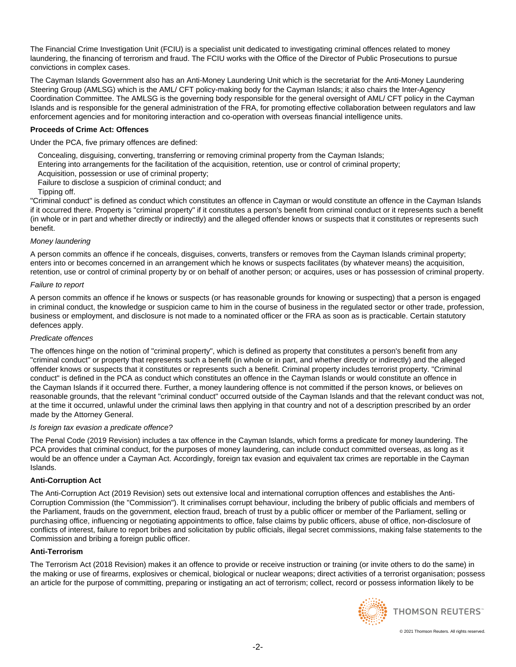The Financial Crime Investigation Unit (FCIU) is a specialist unit dedicated to investigating criminal offences related to money laundering, the financing of terrorism and fraud. The FCIU works with the Office of the Director of Public Prosecutions to pursue convictions in complex cases.

The Cayman Islands Government also has an Anti-Money Laundering Unit which is the secretariat for the Anti-Money Laundering Steering Group (AMLSG) which is the AML/ CFT policy-making body for the Cayman Islands; it also chairs the Inter-Agency Coordination Committee. The AMLSG is the governing body responsible for the general oversight of AML/ CFT policy in the Cayman Islands and is responsible for the general administration of the FRA, for promoting effective collaboration between regulators and law enforcement agencies and for monitoring interaction and co-operation with overseas financial intelligence units.

# **Proceeds of Crime Act: Offences**

Under the PCA, five primary offences are defined:

Concealing, disguising, converting, transferring or removing criminal property from the Cayman Islands;

- Entering into arrangements for the facilitation of the acquisition, retention, use or control of criminal property;
- Acquisition, possession or use of criminal property;

Failure to disclose a suspicion of criminal conduct; and

Tipping off.

"Criminal conduct" is defined as conduct which constitutes an offence in Cayman or would constitute an offence in the Cayman Islands if it occurred there. Property is "criminal property" if it constitutes a person's benefit from criminal conduct or it represents such a benefit (in whole or in part and whether directly or indirectly) and the alleged offender knows or suspects that it constitutes or represents such benefit.

# Money laundering

A person commits an offence if he conceals, disguises, converts, transfers or removes from the Cayman Islands criminal property; enters into or becomes concerned in an arrangement which he knows or suspects facilitates (by whatever means) the acquisition, retention, use or control of criminal property by or on behalf of another person; or acquires, uses or has possession of criminal property.

#### Failure to report

A person commits an offence if he knows or suspects (or has reasonable grounds for knowing or suspecting) that a person is engaged in criminal conduct, the knowledge or suspicion came to him in the course of business in the regulated sector or other trade, profession, business or employment, and disclosure is not made to a nominated officer or the FRA as soon as is practicable. Certain statutory defences apply.

# Predicate offences

The offences hinge on the notion of "criminal property", which is defined as property that constitutes a person's benefit from any "criminal conduct" or property that represents such a benefit (in whole or in part, and whether directly or indirectly) and the alleged offender knows or suspects that it constitutes or represents such a benefit. Criminal property includes terrorist property. "Criminal conduct" is defined in the PCA as conduct which constitutes an offence in the Cayman Islands or would constitute an offence in the Cayman Islands if it occurred there. Further, a money laundering offence is not committed if the person knows, or believes on reasonable grounds, that the relevant "criminal conduct" occurred outside of the Cayman Islands and that the relevant conduct was not, at the time it occurred, unlawful under the criminal laws then applying in that country and not of a description prescribed by an order made by the Attorney General.

# Is foreign tax evasion a predicate offence?

The Penal Code (2019 Revision) includes a tax offence in the Cayman Islands, which forms a predicate for money laundering. The PCA provides that criminal conduct, for the purposes of money laundering, can include conduct committed overseas, as long as it would be an offence under a Cayman Act. Accordingly, foreign tax evasion and equivalent tax crimes are reportable in the Cayman Islands.

# **Anti-Corruption Act**

The Anti-Corruption Act (2019 Revision) sets out extensive local and international corruption offences and establishes the Anti-Corruption Commission (the "Commission"). It criminalises corrupt behaviour, including the bribery of public officials and members of the Parliament, frauds on the government, election fraud, breach of trust by a public officer or member of the Parliament, selling or purchasing office, influencing or negotiating appointments to office, false claims by public officers, abuse of office, non-disclosure of conflicts of interest, failure to report bribes and solicitation by public officials, illegal secret commissions, making false statements to the Commission and bribing a foreign public officer.

# **Anti-Terrorism**

The Terrorism Act (2018 Revision) makes it an offence to provide or receive instruction or training (or invite others to do the same) in the making or use of firearms, explosives or chemical, biological or nuclear weapons; direct activities of a terrorist organisation; possess an article for the purpose of committing, preparing or instigating an act of terrorism; collect, record or possess information likely to be

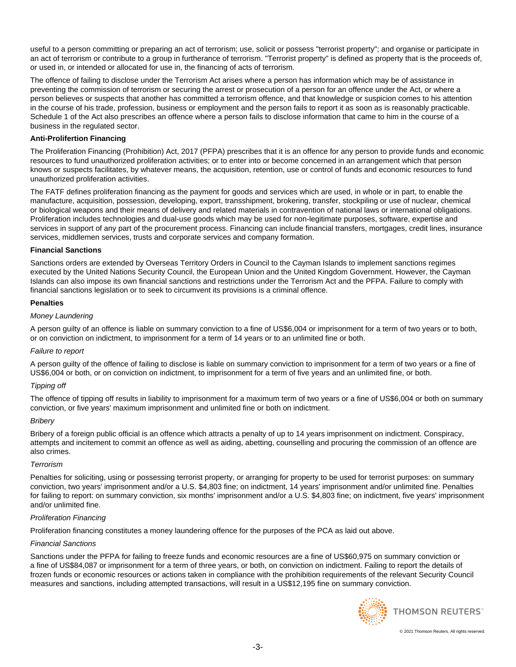useful to a person committing or preparing an act of terrorism; use, solicit or possess "terrorist property"; and organise or participate in an act of terrorism or contribute to a group in furtherance of terrorism. "Terrorist property" is defined as property that is the proceeds of, or used in, or intended or allocated for use in, the financing of acts of terrorism.

The offence of failing to disclose under the Terrorism Act arises where a person has information which may be of assistance in preventing the commission of terrorism or securing the arrest or prosecution of a person for an offence under the Act, or where a person believes or suspects that another has committed a terrorism offence, and that knowledge or suspicion comes to his attention in the course of his trade, profession, business or employment and the person fails to report it as soon as is reasonably practicable. Schedule 1 of the Act also prescribes an offence where a person fails to disclose information that came to him in the course of a business in the regulated sector.

# **Anti-Prolifertion Financing**

The Proliferation Financing (Prohibition) Act, 2017 (PFPA) prescribes that it is an offence for any person to provide funds and economic resources to fund unauthorized proliferation activities; or to enter into or become concerned in an arrangement which that person knows or suspects facilitates, by whatever means, the acquisition, retention, use or control of funds and economic resources to fund unauthorized proliferation activities.

The FATF defines proliferation financing as the payment for goods and services which are used, in whole or in part, to enable the manufacture, acquisition, possession, developing, export, transshipment, brokering, transfer, stockpiling or use of nuclear, chemical or biological weapons and their means of delivery and related materials in contravention of national laws or international obligations. Proliferation includes technologies and dual-use goods which may be used for non-legitimate purposes, software, expertise and services in support of any part of the procurement process. Financing can include financial transfers, mortgages, credit lines, insurance services, middlemen services, trusts and corporate services and company formation.

# **Financial Sanctions**

Sanctions orders are extended by Overseas Territory Orders in Council to the Cayman Islands to implement sanctions regimes executed by the United Nations Security Council, the European Union and the United Kingdom Government. However, the Cayman Islands can also impose its own financial sanctions and restrictions under the Terrorism Act and the PFPA. Failure to comply with financial sanctions legislation or to seek to circumvent its provisions is a criminal offence.

# **Penalties**

# Money Laundering

A person guilty of an offence is liable on summary conviction to a fine of US\$6,004 or imprisonment for a term of two years or to both, or on conviction on indictment, to imprisonment for a term of 14 years or to an unlimited fine or both.

# Failure to report

A person guilty of the offence of failing to disclose is liable on summary conviction to imprisonment for a term of two years or a fine of US\$6,004 or both, or on conviction on indictment, to imprisonment for a term of five years and an unlimited fine, or both.

# Tipping off

The offence of tipping off results in liability to imprisonment for a maximum term of two years or a fine of US\$6,004 or both on summary conviction, or five years' maximum imprisonment and unlimited fine or both on indictment.

# **Briberv**

Bribery of a foreign public official is an offence which attracts a penalty of up to 14 years imprisonment on indictment. Conspiracy, attempts and incitement to commit an offence as well as aiding, abetting, counselling and procuring the commission of an offence are also crimes.

# **Terrorism**

Penalties for soliciting, using or possessing terrorist property, or arranging for property to be used for terrorist purposes: on summary conviction, two years' imprisonment and/or a U.S. \$4,803 fine; on indictment, 14 years' imprisonment and/or unlimited fine. Penalties for failing to report: on summary conviction, six months' imprisonment and/or a U.S. \$4,803 fine; on indictment, five years' imprisonment and/or unlimited fine.

# Proliferation Financing

Proliferation financing constitutes a money laundering offence for the purposes of the PCA as laid out above.

# Financial Sanctions

Sanctions under the PFPA for failing to freeze funds and economic resources are a fine of US\$60,975 on summary conviction or a fine of US\$84,087 or imprisonment for a term of three years, or both, on conviction on indictment. Failing to report the details of frozen funds or economic resources or actions taken in compliance with the prohibition requirements of the relevant Security Council measures and sanctions, including attempted transactions, will result in a US\$12,195 fine on summary conviction.

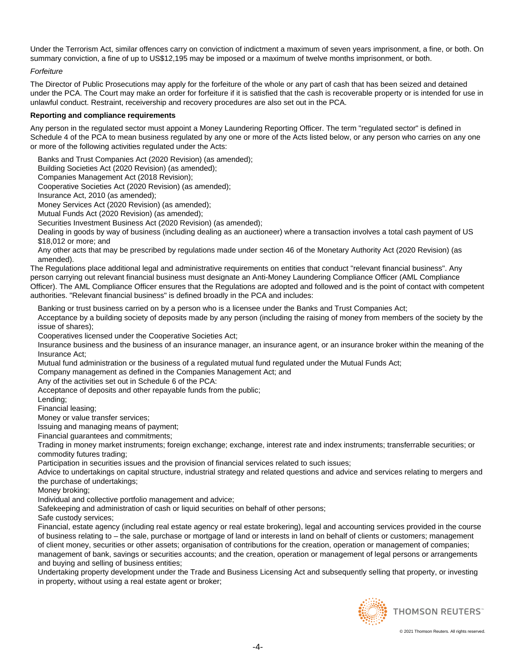Under the Terrorism Act, similar offences carry on conviction of indictment a maximum of seven years imprisonment, a fine, or both. On summary conviction, a fine of up to US\$12,195 may be imposed or a maximum of twelve months imprisonment, or both.

# Forfeiture

The Director of Public Prosecutions may apply for the forfeiture of the whole or any part of cash that has been seized and detained under the PCA. The Court may make an order for forfeiture if it is satisfied that the cash is recoverable property or is intended for use in unlawful conduct. Restraint, receivership and recovery procedures are also set out in the PCA.

# **Reporting and compliance requirements**

Any person in the regulated sector must appoint a Money Laundering Reporting Officer. The term "regulated sector" is defined in Schedule 4 of the PCA to mean business regulated by any one or more of the Acts listed below, or any person who carries on any one or more of the following activities regulated under the Acts:

Banks and Trust Companies Act (2020 Revision) (as amended);

Building Societies Act (2020 Revision) (as amended);

Companies Management Act (2018 Revision);

Cooperative Societies Act (2020 Revision) (as amended);

Insurance Act, 2010 (as amended);

Money Services Act (2020 Revision) (as amended);

Mutual Funds Act (2020 Revision) (as amended);

Securities Investment Business Act (2020 Revision) (as amended);

Dealing in goods by way of business (including dealing as an auctioneer) where a transaction involves a total cash payment of US \$18,012 or more; and

Any other acts that may be prescribed by regulations made under section 46 of the Monetary Authority Act (2020 Revision) (as amended).

The Regulations place additional legal and administrative requirements on entities that conduct "relevant financial business". Any person carrying out relevant financial business must designate an Anti-Money Laundering Compliance Officer (AML Compliance Officer). The AML Compliance Officer ensures that the Regulations are adopted and followed and is the point of contact with competent authorities. "Relevant financial business" is defined broadly in the PCA and includes:

Banking or trust business carried on by a person who is a licensee under the Banks and Trust Companies Act; Acceptance by a building society of deposits made by any person (including the raising of money from members of the society by the issue of shares);

Cooperatives licensed under the Cooperative Societies Act;

Insurance business and the business of an insurance manager, an insurance agent, or an insurance broker within the meaning of the Insurance Act;

Mutual fund administration or the business of a regulated mutual fund regulated under the Mutual Funds Act;

Company management as defined in the Companies Management Act; and

Any of the activities set out in Schedule 6 of the PCA:

Acceptance of deposits and other repayable funds from the public;

Lending;

Financial leasing;

Money or value transfer services;

Issuing and managing means of payment;

Financial guarantees and commitments;

Trading in money market instruments; foreign exchange; exchange, interest rate and index instruments; transferrable securities; or commodity futures trading;

Participation in securities issues and the provision of financial services related to such issues;

Advice to undertakings on capital structure, industrial strategy and related questions and advice and services relating to mergers and the purchase of undertakings;

Money broking;

Individual and collective portfolio management and advice;

Safekeeping and administration of cash or liquid securities on behalf of other persons;

Safe custody services;

Financial, estate agency (including real estate agency or real estate brokering), legal and accounting services provided in the course of business relating to – the sale, purchase or mortgage of land or interests in land on behalf of clients or customers; management of client money, securities or other assets; organisation of contributions for the creation, operation or management of companies; management of bank, savings or securities accounts; and the creation, operation or management of legal persons or arrangements and buying and selling of business entities;

Undertaking property development under the Trade and Business Licensing Act and subsequently selling that property, or investing in property, without using a real estate agent or broker;